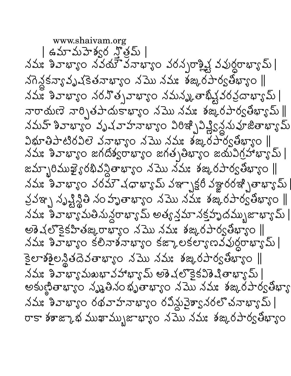www.shaivam.org | ఉమామహెశ్వర న్త్రిమ్ |  $\Delta\Delta$  ) နောက္ေတာ့ အေတာ့ အေျပာင္း အေလာက္ေတာက္ေတာ႔ నగెన్లకన్యావృషకెతనాభ్యాం నమొనమః శఙురపార్వతీభ్యాం || నమ్మ శివాభ్యాం నరనొత్సవాభ్యాం నమన్మ తాభివ్షవరవ్రదాభ్యామ్ | వారాయణె వార్చితపాదుకాఖ్యాం నమొ నమః శఙ,రపార్వతిఖ్యామ్ || నమహ్ శివాభ్యాం వృషవాహనాభ్యాం విరిశ్చి విశ్లీకృష్ణమహజితాభ్యామ్  $280 - 23 - 180$  32 325 520 530 532 526 536 53270  $\Delta\Delta$ း ခောကားဝ జగదిశ్వరాఖ్యాం జగతృతిఖ్యాం జయవిగ్రహాఖ్యామ్ | జమ్బారిముఖై్ రథివస్థితాభ్యాం నమొ నమః శఙురపార్వతిభ్యాం || నమః శివాభ్యాం వరమౌచధాభా $\mathfrak J$ మ్ వఞాృక్షరీ వజ్ఞారరఇ్బితాభ్యామ్ వ్రవఞ్ప నృష్టిస్థితి నం హృతాభ్యాం నమొ నమః శఙ,రపార్వతిభ్యాం ∥ నమః శివాభ్యామతినున్ధరాభ్యామ్ అత్యన్తమానక్తపృదమ్భుజాభ్యామ్  $|$ అశెషలొకైకహితఙ,రాభ్యాం నమొనమః శఙ,రపార్యతిభ్యాం ||  $\Delta\Delta$ း  $\delta\Delta\bar{\nu}$ ေးေ ဒီဗီအမ်ားစား၀ ဒံေႏုပေဒေဟာ အသံတိုတ္ပ္မဟားက်ာ కైలాశశైలన్థితదెవతాభ్యాం నమొ నమః శఙనిరపార్వతిభ్యాం ||  $\Delta\Delta$ :  $\partial\Delta\sigma$   $\Delta\sigma$   $\Delta\omega$   $\sigma$   $\Delta\sigma$   $\sigma$   $\sigma$   $\sigma$   $\sigma$   $\sigma$   $\sigma$ อสายูละขาย ที่หลือทองติดและของ ทุกที่ ทุกที่ నమః శివాభ్యాం రథవాహనాభ్యాం రవిన్ధువైశ్వానరలొచనాభ్యామ్ | రాకా శశాజ్కాభ ముఖామ్బుజాభ్యాం నమొ నమః శఙధిరపార్వతీభ్యాం